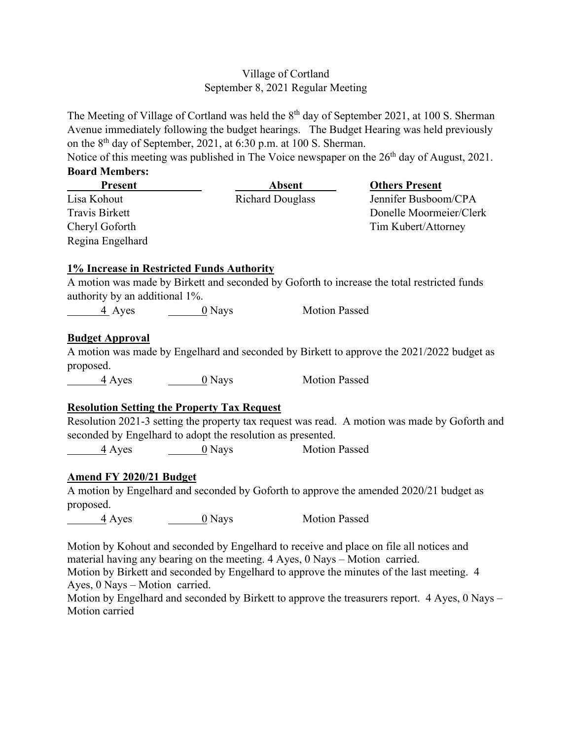## Village of Cortland September 8, 2021 Regular Meeting

The Meeting of Village of Cortland was held the 8<sup>th</sup> day of September 2021, at 100 S. Sherman Avenue immediately following the budget hearings. The Budget Hearing was held previously on the 8th day of September, 2021, at 6:30 p.m. at 100 S. Sherman.

Notice of this meeting was published in The Voice newspaper on the  $26<sup>th</sup>$  day of August, 2021. **Board Members:** 

| Present                        |                                                             | Absent                  | <b>Others Present</b>                                                                         |
|--------------------------------|-------------------------------------------------------------|-------------------------|-----------------------------------------------------------------------------------------------|
| Lisa Kohout                    |                                                             | <b>Richard Douglass</b> | Jennifer Busboom/CPA                                                                          |
| <b>Travis Birkett</b>          |                                                             |                         | Donelle Moormeier/Clerk                                                                       |
| Cheryl Goforth                 |                                                             |                         | Tim Kubert/Attorney                                                                           |
| Regina Engelhard               |                                                             |                         |                                                                                               |
|                                | <b>1% Increase in Restricted Funds Authority</b>            |                         |                                                                                               |
|                                |                                                             |                         | A motion was made by Birkett and seconded by Goforth to increase the total restricted funds   |
| authority by an additional 1%. |                                                             |                         |                                                                                               |
|                                | $\frac{4}{3}$ Ayes $\frac{0}{3}$ Nays                       | <b>Motion Passed</b>    |                                                                                               |
| <b>Budget Approval</b>         |                                                             |                         |                                                                                               |
|                                |                                                             |                         | A motion was made by Engelhard and seconded by Birkett to approve the 2021/2022 budget as     |
| proposed.                      |                                                             |                         |                                                                                               |
| $\frac{4}{4}$ Ayes             | $\underline{\hspace{1cm}} 0$ Nays                           | <b>Motion Passed</b>    |                                                                                               |
|                                | <b>Resolution Setting the Property Tax Request</b>          |                         |                                                                                               |
|                                |                                                             |                         | Resolution 2021-3 setting the property tax request was read. A motion was made by Goforth and |
|                                | seconded by Engelhard to adopt the resolution as presented. |                         |                                                                                               |
| 4 Ayes                         | $\sim 0$ Nays                                               | <b>Motion Passed</b>    |                                                                                               |
| <b>Amend FY 2020/21 Budget</b> |                                                             |                         |                                                                                               |
|                                |                                                             |                         | A motion by Engelhard and seconded by Goforth to approve the amended 2020/21 budget as        |
| proposed.                      |                                                             |                         |                                                                                               |
| $\frac{4}{4}$ Ayes             | $\rule{1em}{0}$ Nays                                        | <b>Motion Passed</b>    |                                                                                               |
|                                |                                                             |                         | Motion by Kohout and seconded by Engelhard to receive and place on file all notices and       |

material having any bearing on the meeting. 4 Ayes, 0 Nays – Motion carried.

Motion by Birkett and seconded by Engelhard to approve the minutes of the last meeting. 4 Ayes, 0 Nays – Motion carried.

Motion by Engelhard and seconded by Birkett to approve the treasurers report. 4 Ayes, 0 Nays – Motion carried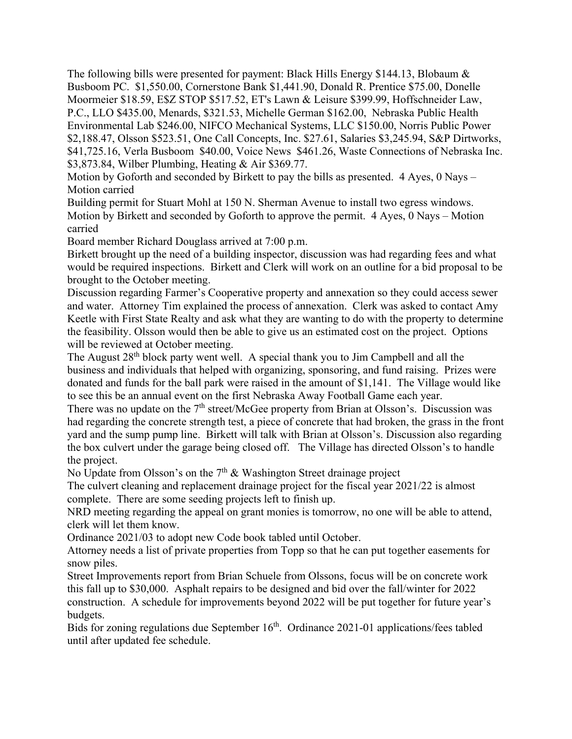The following bills were presented for payment: Black Hills Energy \$144.13, Blobaum & Busboom PC. \$1,550.00, Cornerstone Bank \$1,441.90, Donald R. Prentice \$75.00, Donelle Moormeier \$18.59, E\$Z STOP \$517.52, ET's Lawn & Leisure \$399.99, Hoffschneider Law, P.C., LLO \$435.00, Menards, \$321.53, Michelle German \$162.00, Nebraska Public Health Environmental Lab \$246.00, NIFCO Mechanical Systems, LLC \$150.00, Norris Public Power \$2,188.47, Olsson \$523.51, One Call Concepts, Inc. \$27.61, Salaries \$3,245.94, S&P Dirtworks, \$41,725.16, Verla Busboom \$40.00, Voice News \$461.26, Waste Connections of Nebraska Inc. \$3,873.84, Wilber Plumbing, Heating & Air \$369.77.

Motion by Goforth and seconded by Birkett to pay the bills as presented. 4 Ayes, 0 Nays – Motion carried

Building permit for Stuart Mohl at 150 N. Sherman Avenue to install two egress windows. Motion by Birkett and seconded by Goforth to approve the permit. 4 Ayes, 0 Nays – Motion carried

Board member Richard Douglass arrived at 7:00 p.m.

Birkett brought up the need of a building inspector, discussion was had regarding fees and what would be required inspections. Birkett and Clerk will work on an outline for a bid proposal to be brought to the October meeting.

Discussion regarding Farmer's Cooperative property and annexation so they could access sewer and water. Attorney Tim explained the process of annexation. Clerk was asked to contact Amy Keetle with First State Realty and ask what they are wanting to do with the property to determine the feasibility. Olsson would then be able to give us an estimated cost on the project. Options will be reviewed at October meeting.

The August  $28<sup>th</sup>$  block party went well. A special thank you to Jim Campbell and all the business and individuals that helped with organizing, sponsoring, and fund raising. Prizes were donated and funds for the ball park were raised in the amount of \$1,141. The Village would like to see this be an annual event on the first Nebraska Away Football Game each year.

There was no update on the  $7<sup>th</sup>$  street/McGee property from Brian at Olsson's. Discussion was had regarding the concrete strength test, a piece of concrete that had broken, the grass in the front yard and the sump pump line. Birkett will talk with Brian at Olsson's. Discussion also regarding the box culvert under the garage being closed off. The Village has directed Olsson's to handle the project.

No Update from Olsson's on the  $7<sup>th</sup>$  & Washington Street drainage project

The culvert cleaning and replacement drainage project for the fiscal year 2021/22 is almost complete. There are some seeding projects left to finish up.

NRD meeting regarding the appeal on grant monies is tomorrow, no one will be able to attend, clerk will let them know.

Ordinance 2021/03 to adopt new Code book tabled until October.

Attorney needs a list of private properties from Topp so that he can put together easements for snow piles.

Street Improvements report from Brian Schuele from Olssons, focus will be on concrete work this fall up to \$30,000. Asphalt repairs to be designed and bid over the fall/winter for 2022 construction. A schedule for improvements beyond 2022 will be put together for future year's budgets.

Bids for zoning regulations due September  $16<sup>th</sup>$ . Ordinance 2021-01 applications/fees tabled until after updated fee schedule.